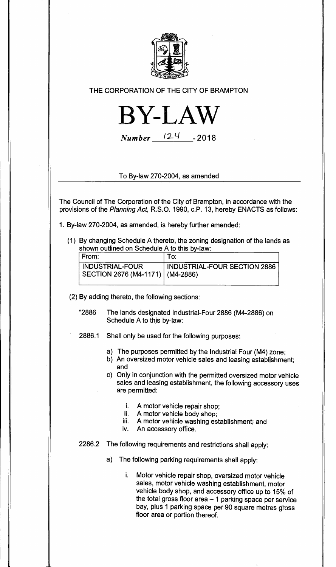

## **THE CORPORATION OF THE CITY OF BRAMPTON**



**Number 12- <sup>4</sup> - <sup>2018</sup>**

**To By-law 270-2004, as amended** 

**The Council of The Corporation of the City of Brampton, in accordance with the provisions of the Planning Act, R.S.O. 1990, c.P. 13, hereby ENACTS as follows:** 

- **1. By-law 270-2004, as amended, is hereby further amended:** 
	- **(1) By changing Schedule A thereto, the zoning designation of the lands as shown outlined on Schedule A to this by-law:**

| l From:                                                        | To:                          |
|----------------------------------------------------------------|------------------------------|
| <b>INDUSTRIAL-FOUR</b><br>  SECTION 2676 (M4-1171)   (M4-2886) | INDUSTRIAL-FOUR SECTION 2886 |

**(2) By adding thereto, the following sections:** 

- **"2886 The lands designated Industrial-Four 2886 (M4-2886) on Schedule A to this by-law:**
- **2886.1 Shall only be used for the following purposes:** 
	- **a) The purposes permitted by the Industrial Four (M4) zone;**
	- **b) An oversized motor vehicle sales and leasing establishment; and**
	- **c) Only in conjunction with the permitted oversized motor vehicle sales and leasing establishment, the following accessory uses are permitted:** 
		- **i. A motor vehicle repair shop;**
		- **ii. A motor vehicle body shop;**
		- **iii. A motor vehicle washing establishment; and**
		- **iv. An accessory office.**
- **2286.2 The following requirements and restrictions shall apply:** 
	- **a) The following parking requirements shall apply:** 
		- **i. Motor vehicle repair shop, oversized motor vehicle sales, motor vehicle washing establishment, motor vehicle body shop, and accessory office up to 15% of the total gross floor area — 1 parking space per service bay, plus 1 parking space per 90 square metres gross floor area or portion thereof.**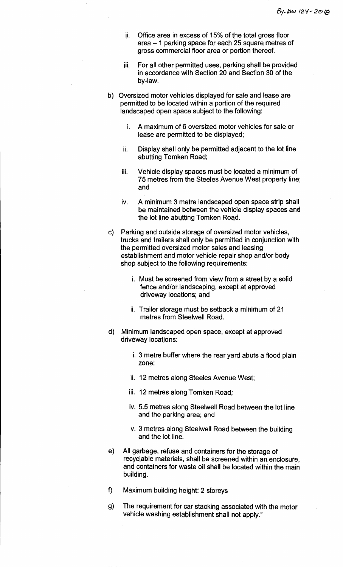- **ii. Office area in excess of 15% of the total gross floor area —1 parking space for each 25 square metres of gross commercial floor area or portion thereof.**
- **iii. For all other permitted uses, parking shall be provided in accordance with Section 20 and Section 30 of the by-law.**
- **b) Oversized motor vehicles displayed for sale and lease are permitted to be located within a portion of the required landscaped open space subject to the following:** 
	- **i. A maximum of 6 oversized motor vehicles for sale or lease are permitted to be displayed;**
	- **ii. Display shall only be permitted adjacent to the lot line abutting Tomken Road;**
	- **iii. Vehicle display spaces must be located a minimum of 75 metres from the Steeles Avenue West property line; and**
	- **iv. A minimum 3 metre landscaped open space strip shall be maintained between the vehicle display spaces and the lot line abutting Tomken Road.**
- **c) Parking and outside storage of oversized motor vehicles, trucks and trailers shall only be permitted in conjunction with the permitted oversized motor sales and leasing establishment and motor vehicle repair shop and/or body shop subject to the following requirements:** 
	- **i. Must be screened from view from a street by a solid fence and/or landscaping, except at approved driveway locations; and**
	- **ii. Trailer storage must be setback a minimum of 21 metres from Steelwell Road.**
- **d) Minimum landscaped open space, except at approved driveway locations:** 
	- **i. 3 metre buffer where the rear yard abuts a flood plain zone;**
	- **ii. 12 metres along Steeles Avenue West;**
	- **iii. 12 metres along Tomken Road;**
	- **iv. 5.5 metres along Steelwell Road between the lot line and the parking area; and**
	- **v. 3 metres along Steelwell Road between the building and the lot line.**
- e) **All garbage, refuse and containers for the storage of recyclable materials, shall be screened within an enclosure, and containers for waste oil shall be located within the main building.**
- **f) Maximum building height: 2 storeys**
- **g) The requirement for car stacking associated with the motor vehicle washing establishment shall not apply."**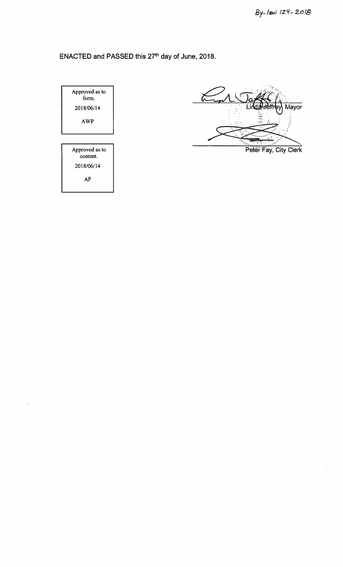## ENACTED and PASSED this 27<sup>th</sup> day of June, 2018.

Approved as to form. 2018/06/14 AWP

Approved as to content. 2018/06/14

AP

Mayor Peter Fay, City Clerk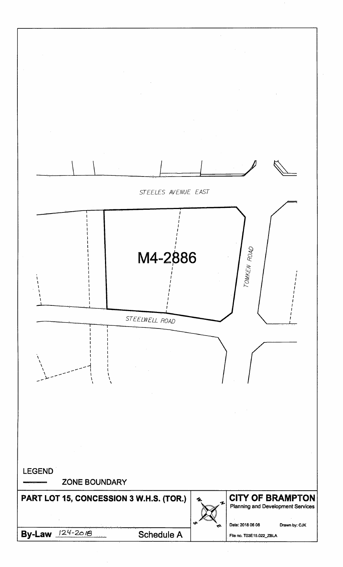